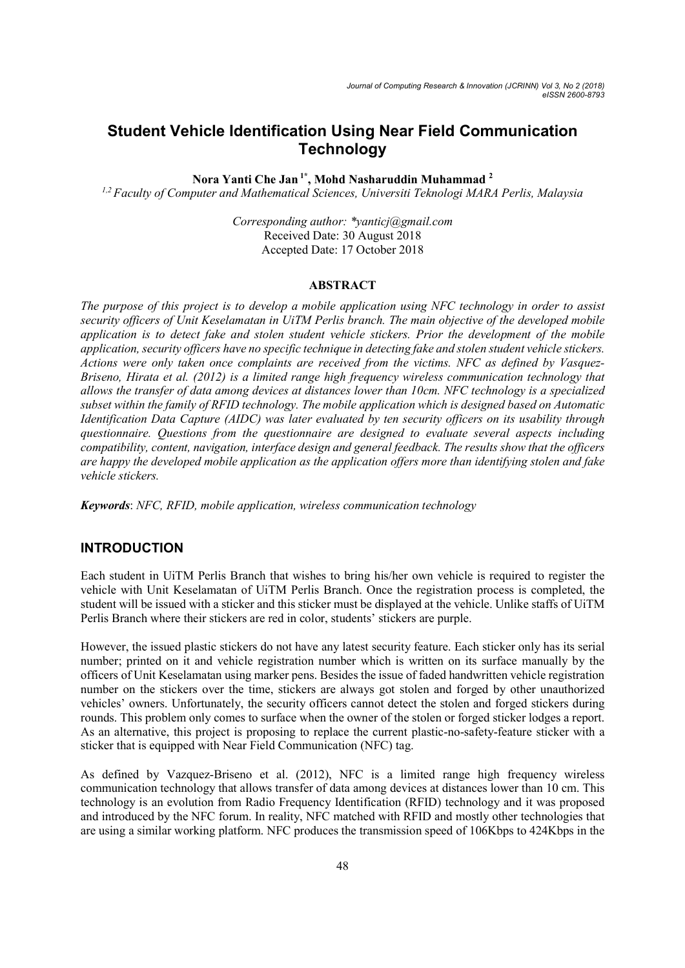# Student Vehicle Identification Using Near Field Communication **Technology**

Nora Yanti Che Jan<sup>1\*</sup>, Mohd Nasharuddin Muhammad<sup>2</sup>

<sup>1,2</sup> Faculty of Computer and Mathematical Sciences, Universiti Teknologi MARA Perlis, Malaysia

Corresponding author: \*yanticj@gmail.com Received Date: 30 August 2018 Accepted Date: 17 October 2018

#### ABSTRACT

The purpose of this project is to develop a mobile application using NFC technology in order to assist security officers of Unit Keselamatan in UiTM Perlis branch. The main objective of the developed mobile application is to detect fake and stolen student vehicle stickers. Prior the development of the mobile application, security officers have no specific technique in detecting fake and stolen student vehicle stickers. Actions were only taken once complaints are received from the victims. NFC as defined by Vasquez-Briseno, Hirata et al. (2012) is a limited range high frequency wireless communication technology that allows the transfer of data among devices at distances lower than 10cm. NFC technology is a specialized subset within the family of RFID technology. The mobile application which is designed based on Automatic Identification Data Capture (AIDC) was later evaluated by ten security officers on its usability through questionnaire. Questions from the questionnaire are designed to evaluate several aspects including compatibility, content, navigation, interface design and general feedback. The results show that the officers are happy the developed mobile application as the application offers more than identifying stolen and fake vehicle stickers.

Keywords: NFC, RFID, mobile application, wireless communication technology

### INTRODUCTION

Each student in UiTM Perlis Branch that wishes to bring his/her own vehicle is required to register the vehicle with Unit Keselamatan of UiTM Perlis Branch. Once the registration process is completed, the student will be issued with a sticker and this sticker must be displayed at the vehicle. Unlike staffs of UiTM Perlis Branch where their stickers are red in color, students' stickers are purple.

However, the issued plastic stickers do not have any latest security feature. Each sticker only has its serial number; printed on it and vehicle registration number which is written on its surface manually by the officers of Unit Keselamatan using marker pens. Besides the issue of faded handwritten vehicle registration number on the stickers over the time, stickers are always got stolen and forged by other unauthorized vehicles' owners. Unfortunately, the security officers cannot detect the stolen and forged stickers during rounds. This problem only comes to surface when the owner of the stolen or forged sticker lodges a report. As an alternative, this project is proposing to replace the current plastic-no-safety-feature sticker with a sticker that is equipped with Near Field Communication (NFC) tag.

As defined by Vazquez-Briseno et al. (2012), NFC is a limited range high frequency wireless communication technology that allows transfer of data among devices at distances lower than 10 cm. This technology is an evolution from Radio Frequency Identification (RFID) technology and it was proposed and introduced by the NFC forum. In reality, NFC matched with RFID and mostly other technologies that are using a similar working platform. NFC produces the transmission speed of 106Kbps to 424Kbps in the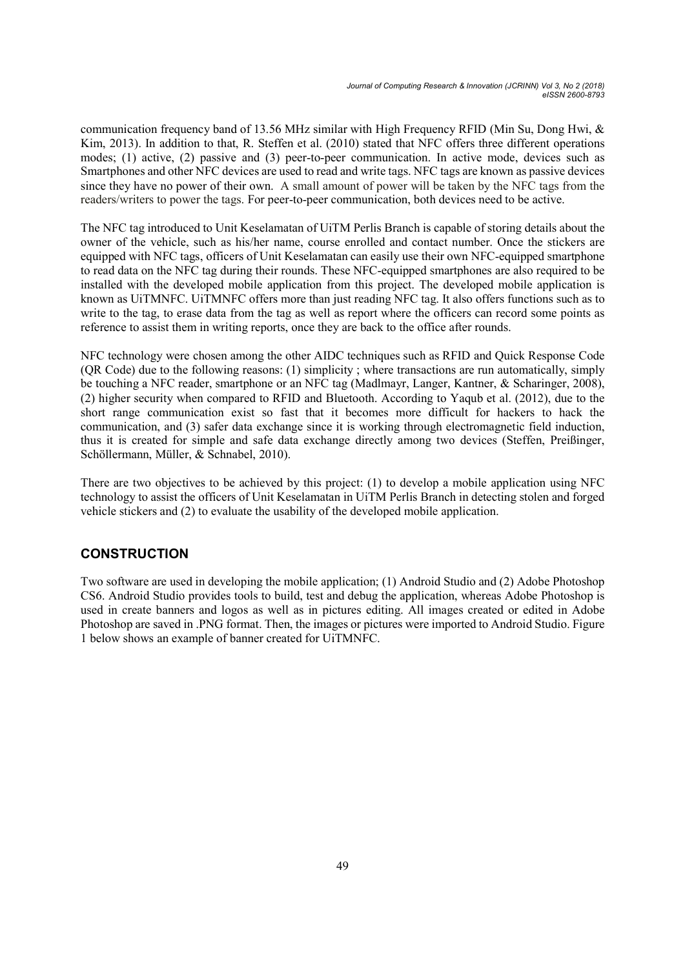communication frequency band of 13.56 MHz similar with High Frequency RFID (Min Su, Dong Hwi, & Kim, 2013). In addition to that, R. Steffen et al. (2010) stated that NFC offers three different operations modes; (1) active, (2) passive and (3) peer-to-peer communication. In active mode, devices such as Smartphones and other NFC devices are used to read and write tags. NFC tags are known as passive devices since they have no power of their own. A small amount of power will be taken by the NFC tags from the readers/writers to power the tags. For peer-to-peer communication, both devices need to be active.

The NFC tag introduced to Unit Keselamatan of UiTM Perlis Branch is capable of storing details about the owner of the vehicle, such as his/her name, course enrolled and contact number. Once the stickers are equipped with NFC tags, officers of Unit Keselamatan can easily use their own NFC-equipped smartphone to read data on the NFC tag during their rounds. These NFC-equipped smartphones are also required to be installed with the developed mobile application from this project. The developed mobile application is known as UiTMNFC. UiTMNFC offers more than just reading NFC tag. It also offers functions such as to write to the tag, to erase data from the tag as well as report where the officers can record some points as reference to assist them in writing reports, once they are back to the office after rounds.

NFC technology were chosen among the other AIDC techniques such as RFID and Quick Response Code (QR Code) due to the following reasons: (1) simplicity ; where transactions are run automatically, simply be touching a NFC reader, smartphone or an NFC tag (Madlmayr, Langer, Kantner, & Scharinger, 2008), (2) higher security when compared to RFID and Bluetooth. According to Yaqub et al. (2012), due to the short range communication exist so fast that it becomes more difficult for hackers to hack the communication, and (3) safer data exchange since it is working through electromagnetic field induction, thus it is created for simple and safe data exchange directly among two devices (Steffen, Preißinger, Schöllermann, Müller, & Schnabel, 2010).

There are two objectives to be achieved by this project: (1) to develop a mobile application using NFC technology to assist the officers of Unit Keselamatan in UiTM Perlis Branch in detecting stolen and forged vehicle stickers and (2) to evaluate the usability of the developed mobile application.

# **CONSTRUCTION**

Two software are used in developing the mobile application; (1) Android Studio and (2) Adobe Photoshop CS6. Android Studio provides tools to build, test and debug the application, whereas Adobe Photoshop is used in create banners and logos as well as in pictures editing. All images created or edited in Adobe Photoshop are saved in .PNG format. Then, the images or pictures were imported to Android Studio. Figure 1 below shows an example of banner created for UiTMNFC.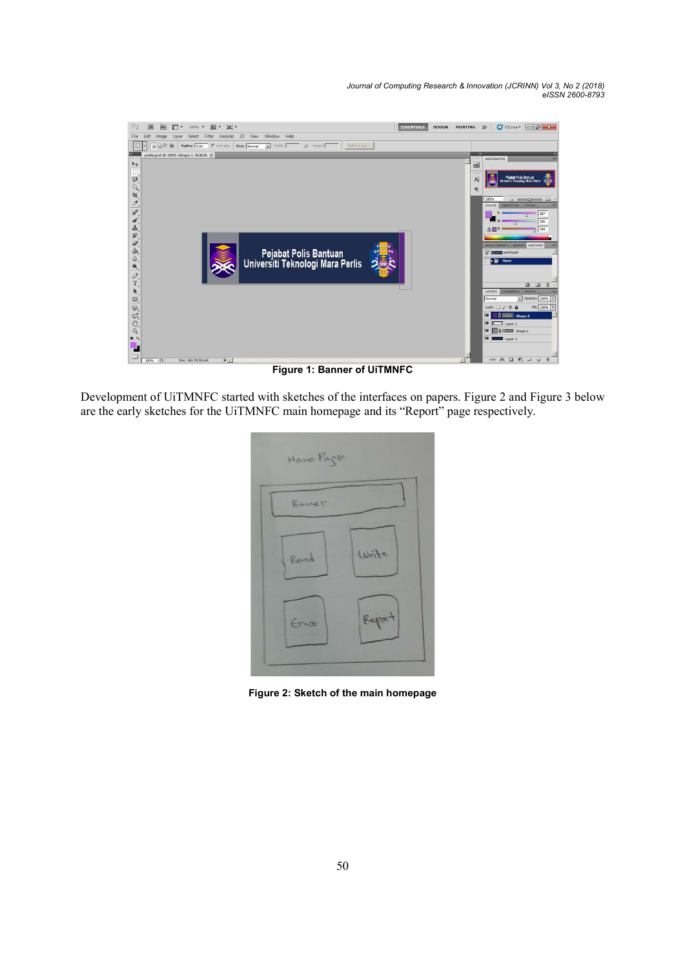Journal of Computing Research & Innovation (JCRINN) Vol 3, No 2 (2018) eISSN 2600-8793



Figure 1: Banner of UiTMNFC

Development of UiTMNFC started with sketches of the interfaces on papers. Figure 2 and Figure 3 below are the early sketches for the UiTMNFC main homepage and its "Report" page respectively.

| Home Page |        |
|-----------|--------|
| Bannet    |        |
| Read      | Write  |
| Erape     | Report |
|           |        |

Figure 2: Sketch of the main homepage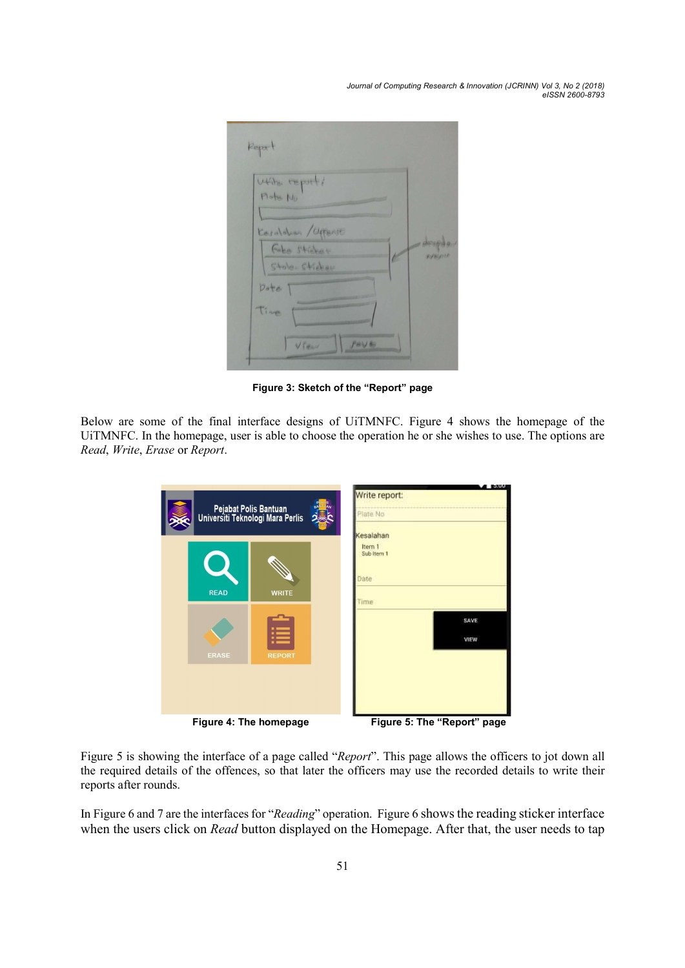Journal of Computing Research & Innovation (JCRINN) Vol 3, No 2 (2018) eISSN 2600-8793

| $P1 - be N0$<br>Kesaldhan /Offense<br>Fake Sticket |                |
|----------------------------------------------------|----------------|
|                                                    |                |
|                                                    |                |
|                                                    | <b>FIFEFIT</b> |
| Stole-Sticker                                      |                |
| Date                                               |                |
| Time                                               |                |

Figure 3: Sketch of the "Report" page

Below are some of the final interface designs of UiTMNFC. Figure 4 shows the homepage of the UiTMNFC. In the homepage, user is able to choose the operation he or she wishes to use. The options are Read, Write, Erase or Report.

| lan<br>Pejabat Polis Bantuan<br>Universiti Teknologi Mara Perlis |                             |  | <b>1.19300.</b><br>Write report:<br>Plate No<br>Kesalahan |  |
|------------------------------------------------------------------|-----------------------------|--|-----------------------------------------------------------|--|
| <b>READ</b>                                                      | <b>WRITE</b>                |  | Item 1<br>Sub Item 1<br>Date<br>Time                      |  |
| <b>ERASE</b>                                                     | <br>٠.<br><br><b>REPORT</b> |  | SAVE<br>VIEW                                              |  |
|                                                                  |                             |  |                                                           |  |

| Figure 4: The homepage | Figure 5: The "Report" page |  |
|------------------------|-----------------------------|--|
|                        |                             |  |

Figure 5 is showing the interface of a page called "Report". This page allows the officers to jot down all the required details of the offences, so that later the officers may use the recorded details to write their reports after rounds.

In Figure 6 and 7 are the interfaces for "Reading" operation. Figure 6 shows the reading sticker interface when the users click on *Read* button displayed on the Homepage. After that, the user needs to tap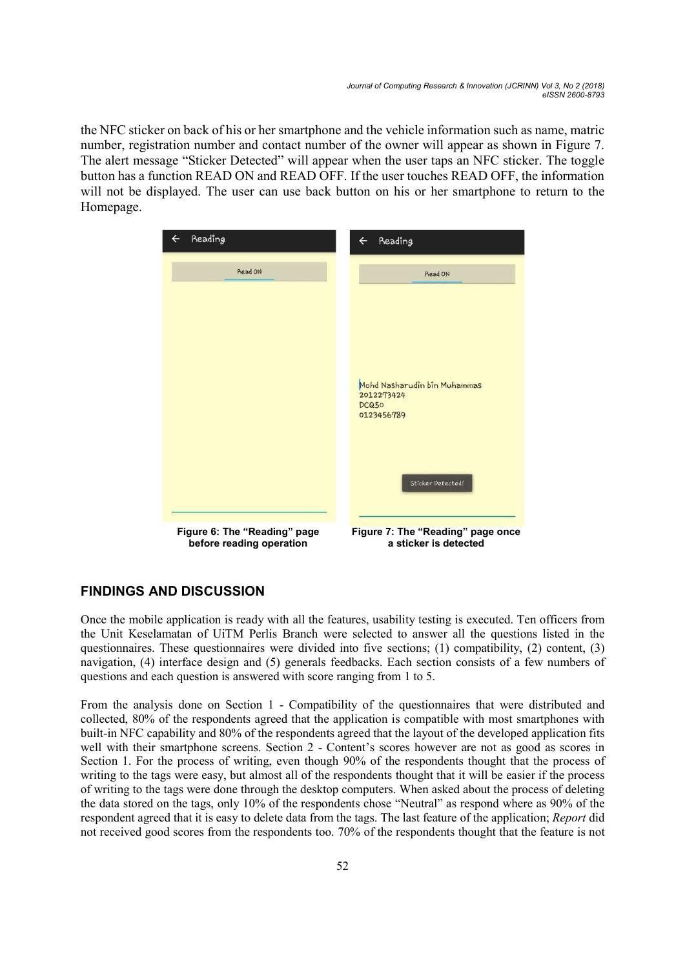the NFC sticker on back of his or her smartphone and the vehicle information such as name, matric number, registration number and contact number of the owner will appear as shown in Figure 7. The alert message "Sticker Detected" will appear when the user taps an NFC sticker. The toggle button has a function READ ON and READ OFF. If the user touches READ OFF, the information will not be displayed. The user can use back button on his or her smartphone to return to the Homepage.



## FINDINGS AND DISCUSSION

Once the mobile application is ready with all the features, usability testing is executed. Ten officers from the Unit Keselamatan of UiTM Perlis Branch were selected to answer all the questions listed in the questionnaires. These questionnaires were divided into five sections; (1) compatibility, (2) content, (3) navigation, (4) interface design and (5) generals feedbacks. Each section consists of a few numbers of questions and each question is answered with score ranging from 1 to 5.

From the analysis done on Section 1 - Compatibility of the questionnaires that were distributed and collected, 80% of the respondents agreed that the application is compatible with most smartphones with built-in NFC capability and 80% of the respondents agreed that the layout of the developed application fits well with their smartphone screens. Section 2 - Content's scores however are not as good as scores in Section 1. For the process of writing, even though 90% of the respondents thought that the process of writing to the tags were easy, but almost all of the respondents thought that it will be easier if the process of writing to the tags were done through the desktop computers. When asked about the process of deleting the data stored on the tags, only 10% of the respondents chose "Neutral" as respond where as 90% of the respondent agreed that it is easy to delete data from the tags. The last feature of the application; Report did not received good scores from the respondents too. 70% of the respondents thought that the feature is not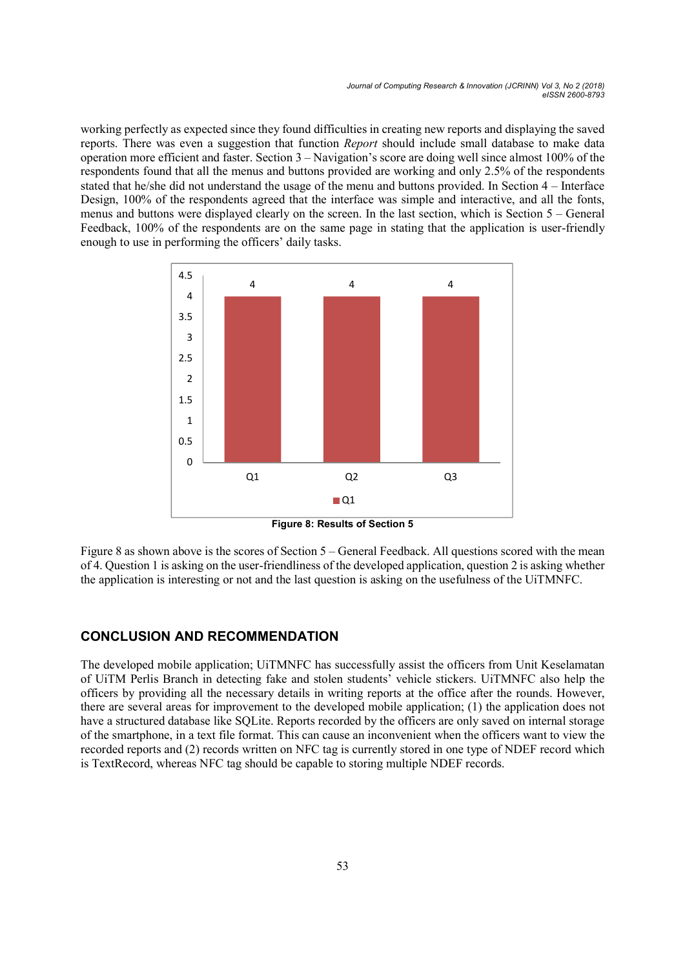Journal of Computing Research & Innovation (JCRINN) Vol 3, No 2 (2018) eISSN 2600-8793

working perfectly as expected since they found difficulties in creating new reports and displaying the saved reports. There was even a suggestion that function Report should include small database to make data operation more efficient and faster. Section 3 – Navigation's score are doing well since almost 100% of the respondents found that all the menus and buttons provided are working and only 2.5% of the respondents stated that he/she did not understand the usage of the menu and buttons provided. In Section 4 – Interface Design, 100% of the respondents agreed that the interface was simple and interactive, and all the fonts, menus and buttons were displayed clearly on the screen. In the last section, which is Section 5 – General Feedback, 100% of the respondents are on the same page in stating that the application is user-friendly enough to use in performing the officers' daily tasks. Journal of Computing Research & Innovation (JCRIMN) Vol 3, No 2, (2018)<br>
elsoy focular difficulties in creating new reports and displaying the saved<br>
tion that function *Report* should include small diatabase to make data<br>



Figure 8: Results of Section 5

Figure 8 as shown above is the scores of Section 5 – General Feedback. All questions scored with the mean of 4. Question 1 is asking on the user-friendliness of the developed application, question 2 is asking whether the application is interesting or not and the last question is asking on the usefulness of the UiTMNFC.

### CONCLUSION AND RECOMMENDATION

The developed mobile application; UiTMNFC has successfully assist the officers from Unit Keselamatan of UiTM Perlis Branch in detecting fake and stolen students' vehicle stickers. UiTMNFC also help the officers by providing all the necessary details in writing reports at the office after the rounds. However, there are several areas for improvement to the developed mobile application; (1) the application does not have a structured database like SQLite. Reports recorded by the officers are only saved on internal storage of the smartphone, in a text file format. This can cause an inconvenient when the officers want to view the recorded reports and (2) records written on NFC tag is currently stored in one type of NDEF record which is TextRecord, whereas NFC tag should be capable to storing multiple NDEF records.